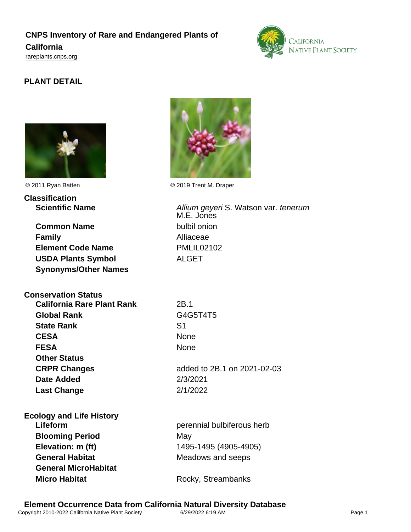## **CNPS Inventory of Rare and Endangered Plants of California** <rareplants.cnps.org>





| <b>Classification</b>             |                                                    |
|-----------------------------------|----------------------------------------------------|
| <b>Scientific Name</b>            | Allium geyeri S. Watson var. tenerum<br>M.E. Jones |
| <b>Common Name</b>                | bulbil onion                                       |
| <b>Family</b>                     | Alliaceae                                          |
| <b>Element Code Name</b>          | <b>PMLIL02102</b>                                  |
| <b>USDA Plants Symbol</b>         | <b>ALGET</b>                                       |
| <b>Synonyms/Other Names</b>       |                                                    |
| <b>Conservation Status</b>        |                                                    |
| <b>California Rare Plant Rank</b> | 2B.1                                               |
| <b>Global Rank</b>                | G4G5T4T5                                           |
| <b>State Rank</b>                 | S <sub>1</sub>                                     |
| <b>CESA</b>                       | None                                               |
| <b>FESA</b>                       | None                                               |
| <b>Other Status</b>               |                                                    |
| <b>CRPR Changes</b>               | added to 2B.1 on 2021-02-03                        |
| <b>Date Added</b>                 | 2/3/2021                                           |
| <b>Last Change</b>                | 2/1/2022                                           |
| <b>Ecology and Life History</b>   |                                                    |
| Lifeform                          | perennial bulbiferous herb                         |
| <b>Blooming Period</b>            | May                                                |
| Elevation: m (ft)                 | 1495-1495 (4905-4905)                              |
| <b>General Habitat</b>            | Meadows and seeps                                  |
| <b>General MicroHabitat</b>       |                                                    |
| <b>Micro Habitat</b>              | Rocky, Streambanks                                 |
|                                   |                                                    |



© 2011 Ryan Batten © 2019 Trent M. Draper

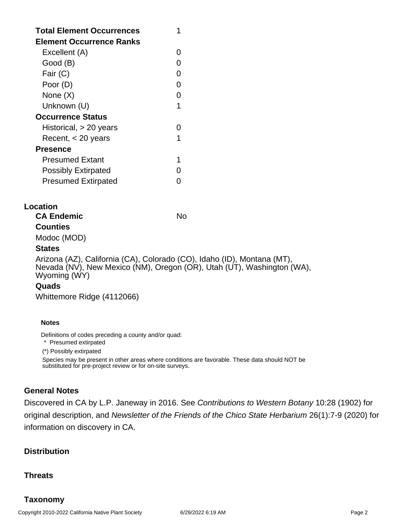| <b>Total Element Occurrences</b><br>Element Occurrence Ranks |   |
|--------------------------------------------------------------|---|
| Excellent (A)                                                |   |
| Good (B)                                                     |   |
| Fair (C)                                                     | ∩ |
| Poor (D)                                                     | ∩ |
| None $(X)$                                                   |   |
| Unknown (U)                                                  | 1 |
| <b>Occurrence Status</b>                                     |   |
| Historical, > 20 years                                       |   |
| Recent, $<$ 20 years                                         | 1 |
| Presence                                                     |   |
| Presumed Extant                                              | 1 |
| <b>Possibly Extirpated</b>                                   |   |
| <b>Presumed Extirpated</b>                                   |   |

### **Location**

**CA Endemic** No. No. **Counties**

# Modoc (MOD)

## **States**

Arizona (AZ), California (CA), Colorado (CO), Idaho (ID), Montana (MT), Nevada (NV), New Mexico (NM), Oregon (OR), Utah (UT), Washington (WA), Wyoming (WY)

## **Quads**

Whittemore Ridge (4112066)

#### **Notes**

Definitions of codes preceding a county and/or quad:

\* Presumed extirpated

(\*) Possibly extirpated

Species may be present in other areas where conditions are favorable. These data should NOT be substituted for pre-project review or for on-site surveys.

## **General Notes**

Discovered in CA by L.P. Janeway in 2016. See Contributions to Western Botany 10:28 (1902) for original description, and Newsletter of the Friends of the Chico State Herbarium 26(1):7-9 (2020) for information on discovery in CA.

## **Distribution**

## **Threats**

## **Taxonomy**